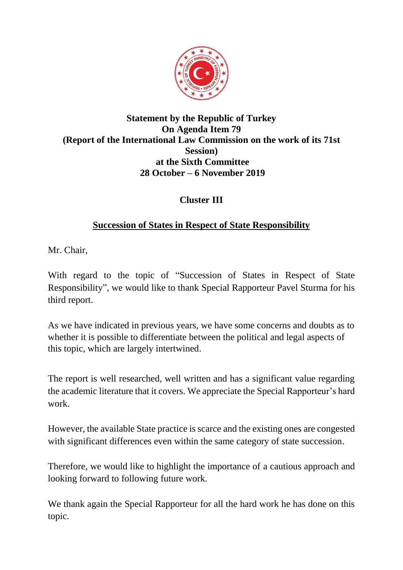

#### **Statement by the Republic of Turkey On Agenda Item 79 (Report of the International Law Commission on the work of its 71st Session) at the Sixth Committee 28 October – 6 November 2019**

## **Cluster III**

## **Succession of States in Respect of State Responsibility**

Mr. Chair,

With regard to the topic of "Succession of States in Respect of State Responsibility", we would like to thank Special Rapporteur Pavel Sturma for his third report.

As we have indicated in previous years, we have some concerns and doubts as to whether it is possible to differentiate between the political and legal aspects of this topic, which are largely intertwined.

The report is well researched, well written and has a significant value regarding the academic literature that it covers. We appreciate the Special Rapporteur's hard work.

However, the available State practice is scarce and the existing ones are congested with significant differences even within the same category of state succession.

Therefore, we would like to highlight the importance of a cautious approach and looking forward to following future work.

We thank again the Special Rapporteur for all the hard work he has done on this topic.